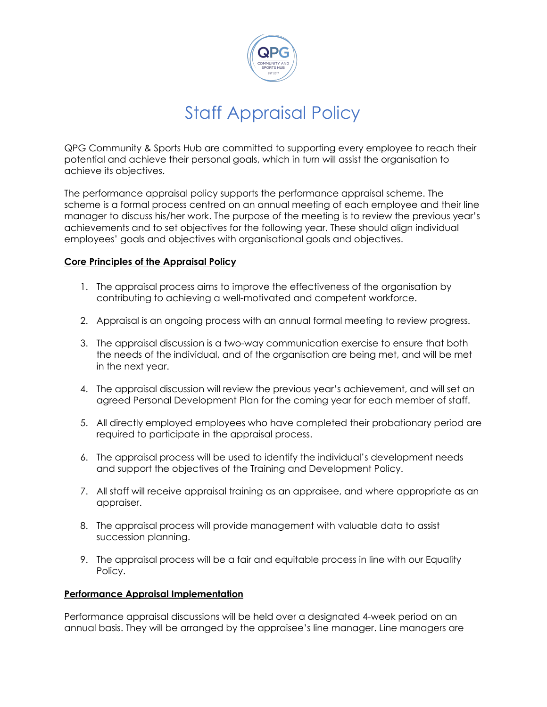

## Staff Appraisal Policy

QPG Community & Sports Hub are committed to supporting every employee to reach their potential and achieve their personal goals, which in turn will assist the organisation to achieve its objectives.

The performance appraisal policy supports the performance appraisal scheme. The scheme is a formal process centred on an annual meeting of each employee and their line manager to discuss his/her work. The purpose of the meeting is to review the previous year's achievements and to set objectives for the following year. These should align individual employees' goals and objectives with organisational goals and objectives.

### **Core Principles of the Appraisal Policy**

- 1. The appraisal process aims to improve the effectiveness of the organisation by contributing to achieving a well-motivated and competent workforce.
- 2. Appraisal is an ongoing process with an annual formal meeting to review progress.
- 3. The appraisal discussion is a two-way communication exercise to ensure that both the needs of the individual, and of the organisation are being met, and will be met in the next year.
- 4. The appraisal discussion will review the previous year's achievement, and will set an agreed Personal Development Plan for the coming year for each member of staff.
- 5. All directly employed employees who have completed their probationary period are required to participate in the appraisal process.
- 6. The appraisal process will be used to identify the individual's development needs and support the objectives of the Training and Development Policy.
- 7. All staff will receive appraisal training as an appraisee, and where appropriate as an appraiser.
- 8. The appraisal process will provide management with valuable data to assist succession planning.
- 9. The appraisal process will be a fair and equitable process in line with our Equality Policy.

#### **Performance Appraisal Implementation**

Performance appraisal discussions will be held over a designated 4-week period on an annual basis. They will be arranged by the appraisee's line manager. Line managers are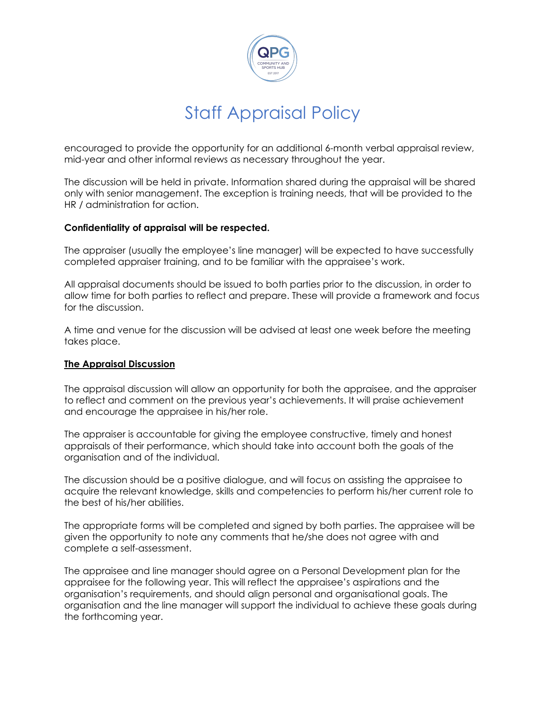

# Staff Appraisal Policy

encouraged to provide the opportunity for an additional 6-month verbal appraisal review, mid-year and other informal reviews as necessary throughout the year.

The discussion will be held in private. Information shared during the appraisal will be shared only with senior management. The exception is training needs, that will be provided to the HR / administration for action.

#### **Confidentiality of appraisal will be respected.**

The appraiser (usually the employee's line manager) will be expected to have successfully completed appraiser training, and to be familiar with the appraisee's work.

All appraisal documents should be issued to both parties prior to the discussion, in order to allow time for both parties to reflect and prepare. These will provide a framework and focus for the discussion.

A time and venue for the discussion will be advised at least one week before the meeting takes place.

#### **The Appraisal Discussion**

The appraisal discussion will allow an opportunity for both the appraisee, and the appraiser to reflect and comment on the previous year's achievements. It will praise achievement and encourage the appraisee in his/her role.

The appraiser is accountable for giving the employee constructive, timely and honest appraisals of their performance, which should take into account both the goals of the organisation and of the individual.

The discussion should be a positive dialogue, and will focus on assisting the appraisee to acquire the relevant knowledge, skills and competencies to perform his/her current role to the best of his/her abilities.

The appropriate forms will be completed and signed by both parties. The appraisee will be given the opportunity to note any comments that he/she does not agree with and complete a self-assessment.

The appraisee and line manager should agree on a Personal Development plan for the appraisee for the following year. This will reflect the appraisee's aspirations and the organisation's requirements, and should align personal and organisational goals. The organisation and the line manager will support the individual to achieve these goals during the forthcoming year.